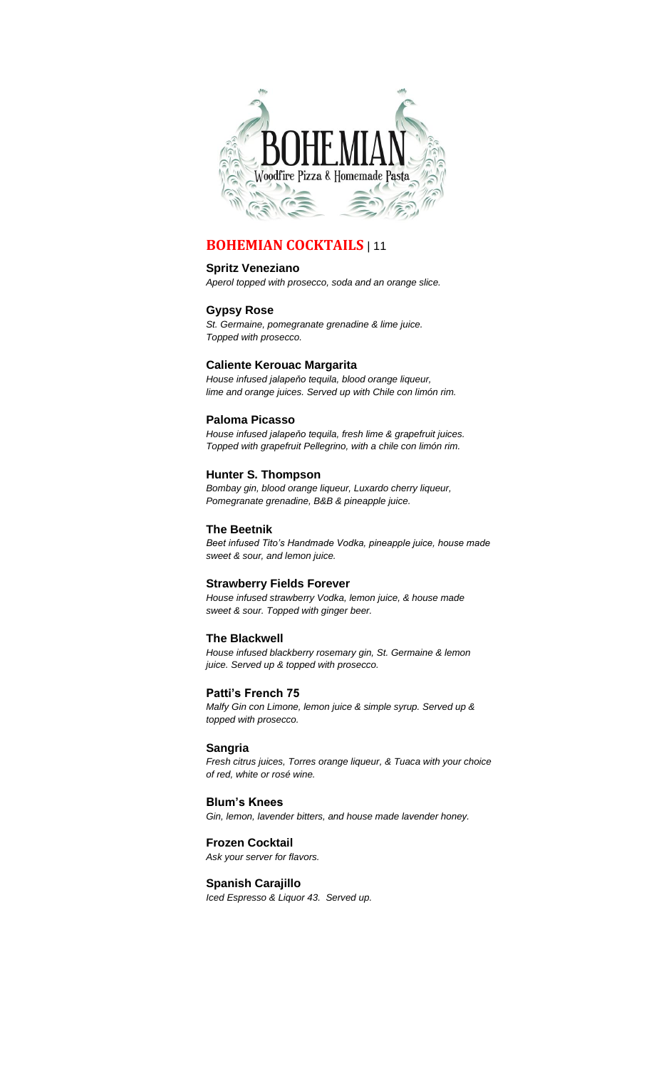

# **BOHEMIAN COCKTAILS** | 11

## **Spritz Veneziano**

*Aperol topped with prosecco, soda and an orange slice.*

## **Gypsy Rose**

*St. Germaine, pomegranate grenadine & lime juice. Topped with prosecco.*

## **Caliente Kerouac Margarita**

*House infused jalapeňo tequila, blood orange liqueur, lime and orange juices. Served up with Chile con limón rim.*

## **Paloma Picasso**

*House infused jalapeňo tequila, fresh lime & grapefruit juices. Topped with grapefruit Pellegrino, with a chile con limón rim.*

## **Hunter S. Thompson**

*Bombay gin, blood orange liqueur, Luxardo cherry liqueur, Pomegranate grenadine, B&B & pineapple juice.*

## **The Beetnik**

*Beet infused Tito's Handmade Vodka, pineapple juice, house made sweet & sour, and lemon juice.*

## **Strawberry Fields Forever**

*House infused strawberry Vodka, lemon juice, & house made sweet & sour. Topped with ginger beer.*

## **The Blackwell**

*House infused blackberry rosemary gin, St. Germaine & lemon juice. Served up & topped with prosecco.*

## **Patti's French 75**

*Malfy Gin con Limone, lemon juice & simple syrup. Served up & topped with prosecco.*

## **Sangria**

*Fresh citrus juices, Torres orange liqueur, & Tuaca with your choice of red, white or rosé wine.*

## **Blum's Knees**

*Gin, lemon, lavender bitters, and house made lavender honey.*

## **Frozen Cocktail**

*Ask your server for flavors.*

## **Spanish Carajillo**

*Iced Espresso & Liquor 43. Served up.*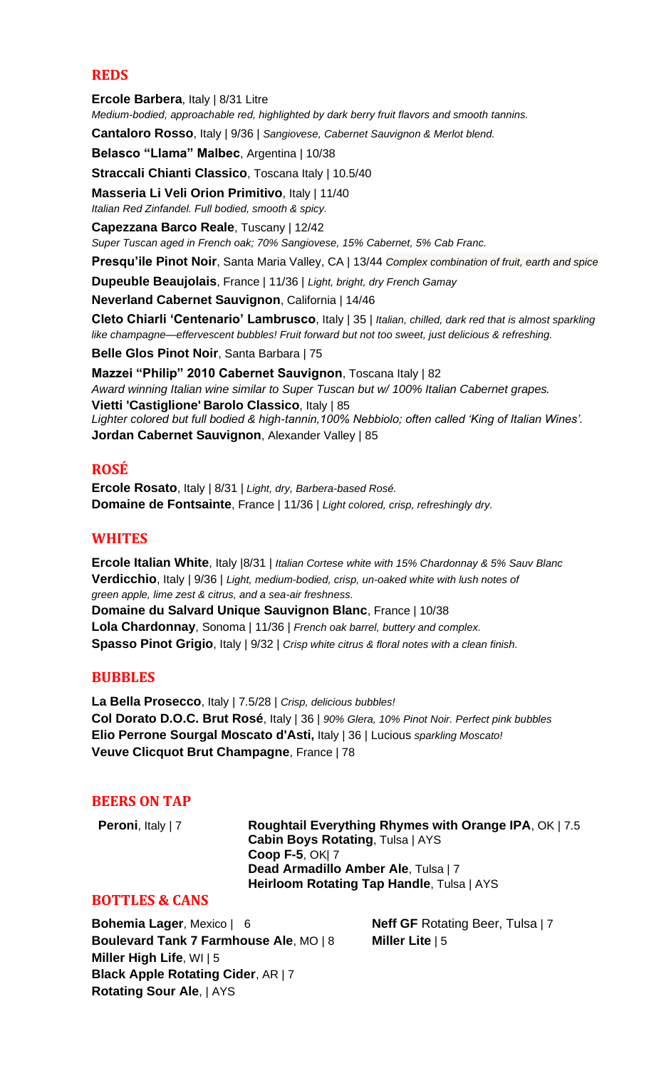# **REDS**

**Ercole Barbera**, Italy | 8/31 Litre *Medium-bodied, approachable red, highlighted by dark berry fruit flavors and smooth tannins.*

**Cantaloro Rosso**, Italy | 9/36 | *Sangiovese, Cabernet Sauvignon & Merlot blend.*

**Belasco "Llama" Malbec**, Argentina | 10/38

**Straccali Chianti Classico**, Toscana Italy | 10.5/40

**Masseria Li Veli Orion Primitivo**, Italy | 11/40 *Italian Red Zinfandel. Full bodied, smooth & spicy.*

**Capezzana Barco Reale**, Tuscany | 12/42

*Super Tuscan aged in French oak; 70% Sangiovese, 15% Cabernet, 5% Cab Franc.* 

**Presqu'ile Pinot Noir**, Santa Maria Valley, CA | 13/44 *Complex combination of fruit, earth and spice*

**Dupeuble Beaujolais**, France | 11/36 | *Light, bright, dry French Gamay*

**Neverland Cabernet Sauvignon**, California | 14/46

**Cleto Chiarli 'Centenario' Lambrusco**, Italy | 35 | *Italian, chilled, dark red that is almost sparkling like champagne—effervescent bubbles! Fruit forward but not too sweet, just delicious & refreshing.*

**Belle Glos Pinot Noir**, Santa Barbara | 75

**Mazzei "Philip" 2010 Cabernet Sauvignon**, Toscana Italy | 82 *Award winning Italian wine similar to Super Tuscan but w/ 100% Italian Cabernet grapes.* **Vietti 'Castiglione' Barolo Classico**, Italy | 85 *Lighter colored but full bodied & high-tannin,100% Nebbiolo; often called 'King of Italian Wines'.* **Jordan Cabernet Sauvignon**, Alexander Valley | 85

# **ROSÉ**

**Ercole Rosato**, Italy | 8/31 | *Light, dry, Barbera-based Rosé.* **Domaine de Fontsainte**, France | 11/36 | *Light colored, crisp, refreshingly dry.*

## **WHITES**

**Ercole Italian White**, Italy |8/31 | *Italian Cortese white with 15% Chardonnay & 5% Sauv Blanc* **Verdicchio**, Italy | 9/36 | *Light, medium-bodied, crisp, un-oaked white with lush notes of green apple, lime zest & citrus, and a sea-air freshness.* **Domaine du Salvard Unique Sauvignon Blanc**, France | 10/38 **Lola Chardonnay**, Sonoma | 11/36 | *French oak barrel, buttery and complex.* **Spasso Pinot Grigio**, Italy | 9/32 | *Crisp white citrus & floral notes with a clean finish.*

## **BUBBLES**

**La Bella Prosecco**, Italy | 7.5/28 | *Crisp, delicious bubbles!* **Col Dorato D.O.C. Brut Rosé**, Italy | 36 | *90% Glera, 10% Pinot Noir. Perfect pink bubbles* **Elio Perrone Sourgal Moscato d'Asti,** Italy | 36 | Lucious *sparkling Moscato!* **Veuve Clicquot Brut Champagne**, France | 78

## **BEERS ON TAP**

**Peroni**, Italy | 7 **Roughtail Everything Rhymes with Orange IPA**, OK | 7.5 **Cabin Boys Rotating**, Tulsa | AYS **Coop F-5**, OK| 7 **Dead Armadillo Amber Ale**, Tulsa | 7 **Heirloom Rotating Tap Handle**, Tulsa | AYS

## **BOTTLES & CANS**

**Bohemia Lager**, Mexico | 6 **Neff GF** Rotating Beer, Tulsa | 7 **Boulevard Tank 7 Farmhouse Ale**, MO | 8 **Miller Lite** | 5 **Miller High Life**, WI | 5 **Black Apple Rotating Cider**, AR | 7 **Rotating Sour Ale**, | AYS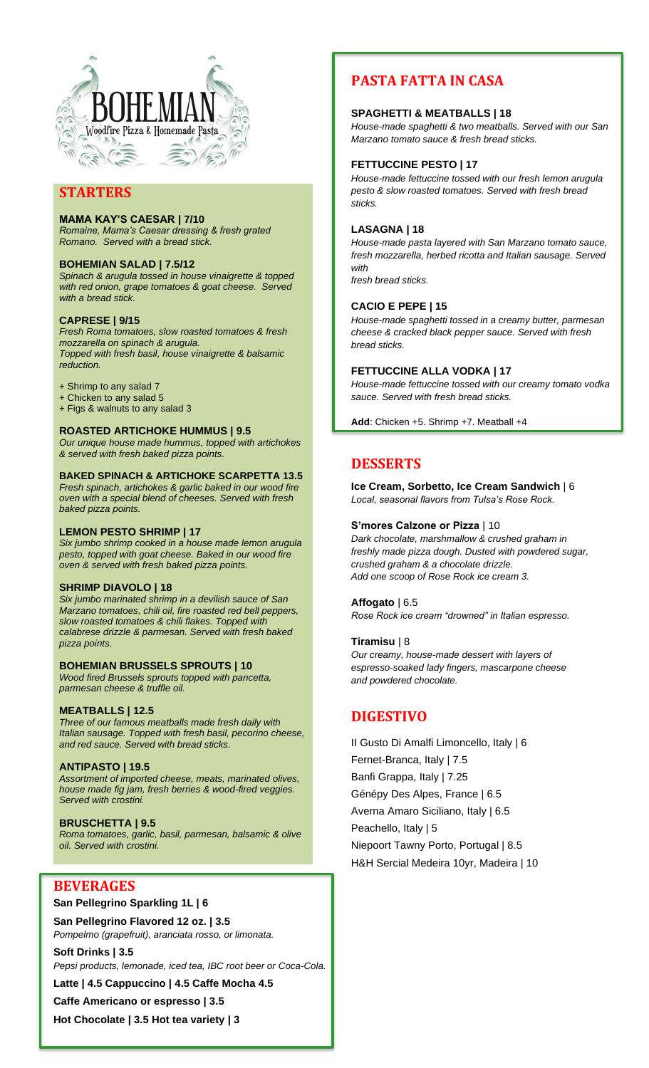

# **STARTERS**

## **MAMA KAY'S CAESAR | 7/10**

*Romaine, Mama's Caesar dressing & fresh grated Romano. Served with a bread stick.*

## **BOHEMIAN SALAD | 7.5/12**

*Spinach & arugula tossed in house vinaigrette & topped with red onion, grape tomatoes & goat cheese. Served with a bread stick.*

## **CAPRESE | 9/15**

*Fresh Roma tomatoes, slow roasted tomatoes & fresh mozzarella on spinach & arugula. Topped with fresh basil, house vinaigrette & balsamic reduction.* 

- + Shrimp to any salad 7
- + Chicken to any salad 5
- + Figs & walnuts to any salad 3

## **ROASTED ARTICHOKE HUMMUS | 9.5**

*Our unique house made hummus, topped with artichokes & served with fresh baked pizza points.* 

# **BAKED SPINACH & ARTICHOKE SCARPETTA 13.5**

*Fresh spinach, artichokes & garlic baked in our wood fire oven with a special blend of cheeses. Served with fresh baked pizza points.* 

#### **LEMON PESTO SHRIMP | 17**

*Six jumbo shrimp cooked in a house made lemon arugula pesto, topped with goat cheese. Baked in our wood fire oven & served with fresh baked pizza points.* 

## **SHRIMP DIAVOLO | 18**

*Six jumbo marinated shrimp in a devilish sauce of San Marzano tomatoes, chili oil, fire roasted red bell peppers, slow roasted tomatoes & chili flakes. Topped with calabrese drizzle & parmesan. Served with fresh baked pizza points.* 

## **BOHEMIAN BRUSSELS SPROUTS | 10**

*Wood fired Brussels sprouts topped with pancetta, parmesan cheese & truffle oil.* 

## **MEATBALLS | 12.5**

*Three of our famous meatballs made fresh daily with Italian sausage. Topped with fresh basil, pecorino cheese, and red sauce. Served with bread sticks.* 

## **ANTIPASTO | 19.5**

*Assortment of imported cheese, meats, marinated olives, house made fig jam, fresh berries & wood-fired veggies. Served with crostini.*

## **BRUSCHETTA | 9.5**

*Roma tomatoes, garlic, basil, parmesan, balsamic & olive oil. Served with crostini.* 

# **BEVERAGES**

## **San Pellegrino Sparkling 1L | 6**

**San Pellegrino Flavored 12 oz. | 3.5** *Pompelmo (grapefruit), aranciata rosso, or limonata.* 

**Soft Drinks | 3.5** *Pepsi products, lemonade, iced tea, IBC root beer or Coca-Cola.* **Latte | 4.5 Cappuccino | 4.5 Caffe Mocha 4.5 Caffe Americano or espresso | 3.5**

**Hot Chocolate | 3.5 Hot tea variety | 3**

# **PASTA FATTA IN CASA**

## **SPAGHETTI & MEATBALLS | 18**

*House-made spaghetti & two meatballs. Served with our San Marzano tomato sauce & fresh bread sticks.*

## **FETTUCCINE PESTO | 17**

*House-made fettuccine tossed with our fresh lemon arugula pesto & slow roasted tomatoes. Served with fresh bread sticks.* 

## **LASAGNA | 18**

*House-made pasta layered with San Marzano tomato sauce, fresh mozzarella, herbed ricotta and Italian sausage. Served with* 

*fresh bread sticks.* 

## **CACIO E PEPE | 15**

*House-made spaghetti tossed in a creamy butter, parmesan cheese & cracked black pepper sauce. Served with fresh bread sticks.* 

## **FETTUCCINE ALLA VODKA | 17**

*House-made fettuccine tossed with our creamy tomato vodka sauce. Served with fresh bread sticks.* 

**Add**: Chicken +5. Shrimp +7. Meatball +4

# **DESSERTS**

**Ice Cream, Sorbetto, Ice Cream Sandwich** | 6 *Local, seasonal flavors from Tulsa's Rose Rock.* 

## **S'mores Calzone or Pizza** | 10

*Dark chocolate, marshmallow & crushed graham in freshly made pizza dough. Dusted with powdered sugar, crushed graham & a chocolate drizzle. Add one scoop of Rose Rock ice cream 3.*

## **Affogato** | 6.5

*Rose Rock ice cream "drowned" in Italian espresso.*

## **Tiramisu** | 8

*Our creamy, house-made dessert with layers of espresso-soaked lady fingers, mascarpone cheese and powdered chocolate.* 

# **DIGESTIVO**

II Gusto Di Amalfi Limoncello, Italy | 6 Fernet-Branca, Italy | 7.5 Banfi Grappa, Italy | 7.25 Génépy Des Alpes, France | 6.5 Averna Amaro Siciliano, Italy | 6.5 Peachello, Italy | 5 Niepoort Tawny Porto, Portugal | 8.5 H&H Sercial Medeira 10yr, Madeira | 10